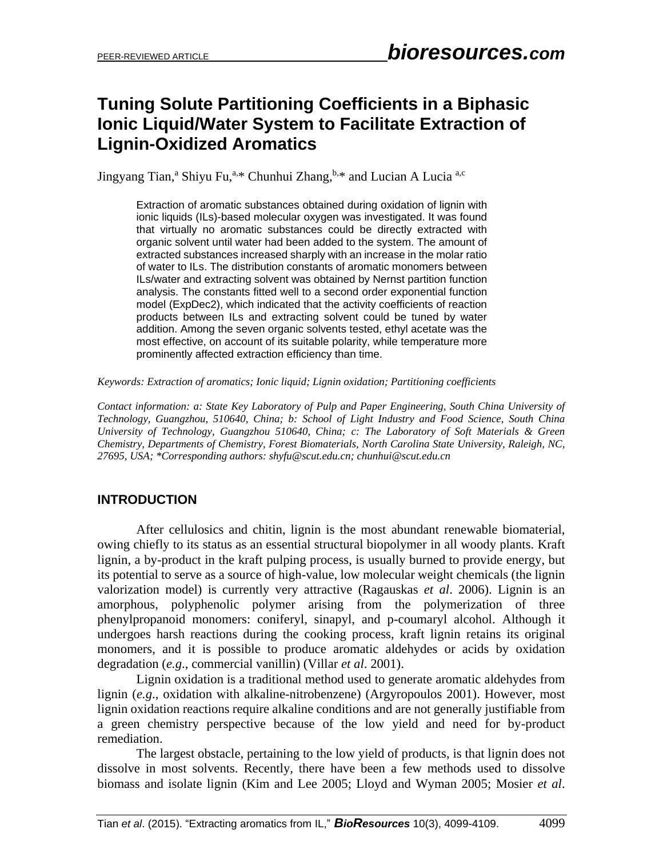# **Tuning Solute Partitioning Coefficients in a Biphasic Ionic Liquid/Water System to Facilitate Extraction of Lignin-Oxidized Aromatics**

Jingyang Tian,<sup>a</sup> Shiyu Fu,<sup>a,\*</sup> Chunhui Zhang,<sup>b,\*</sup> and Lucian A Lucia<sup>a,c</sup>

Extraction of aromatic substances obtained during oxidation of lignin with ionic liquids (ILs)-based molecular oxygen was investigated. It was found that virtually no aromatic substances could be directly extracted with organic solvent until water had been added to the system. The amount of extracted substances increased sharply with an increase in the molar ratio of water to ILs. The distribution constants of aromatic monomers between ILs/water and extracting solvent was obtained by Nernst partition function analysis. The constants fitted well to a second order exponential function model (ExpDec2), which indicated that the activity coefficients of reaction products between ILs and extracting solvent could be tuned by water addition. Among the seven organic solvents tested, ethyl acetate was the most effective, on account of its suitable polarity, while temperature more prominently affected extraction efficiency than time.

*Keywords: Extraction of aromatics; Ionic liquid; Lignin oxidation; Partitioning coefficients*

*Contact information: a: State Key Laboratory of Pulp and Paper Engineering, South China University of Technology, Guangzhou, 510640, China; b: School of Light Industry and Food Science, South China University of Technology, Guangzhou 510640, China; c: The Laboratory of Soft Materials & Green Chemistry, Departments of Chemistry, Forest Biomaterials, North Carolina State University, Raleigh, NC, 27695, USA; \*Corresponding authors[: shyfu@scut.edu.cn;](mailto:shyfu@scut.edu.cn) chunhui@scut.edu.cn*

# **INTRODUCTION**

After cellulosics and chitin, lignin is the most abundant renewable biomaterial, owing chiefly to its status as an essential structural biopolymer in all woody plants. Kraft lignin, a by-product in the kraft pulping process, is usually burned to provide energy, but its potential to serve as a source of high-value, low molecular weight chemicals (the lignin valorization model) is currently very attractive (Ragauskas *et al*. 2006). Lignin is an amorphous, polyphenolic polymer arising from the polymerization of three phenylpropanoid monomers: coniferyl, sinapyl, and p-coumaryl alcohol. Although it undergoes harsh reactions during the cooking process, kraft lignin retains its original monomers, and it is possible to produce aromatic aldehydes or acids by oxidation degradation (*e.g*., commercial vanillin) (Villar *et al*. 2001).

Lignin oxidation is a traditional method used to generate aromatic aldehydes from lignin (*e.g*., oxidation with alkaline-nitrobenzene) (Argyropoulos 2001). However, most lignin oxidation reactions require alkaline conditions and are not generally justifiable from a green chemistry perspective because of the low yield and need for by-product remediation.

The largest obstacle, pertaining to the low yield of products, is that lignin does not dissolve in most solvents. Recently, there have been a few methods used to dissolve biomass and isolate lignin (Kim and Lee 2005; Lloyd and Wyman 2005; Mosier *et al*.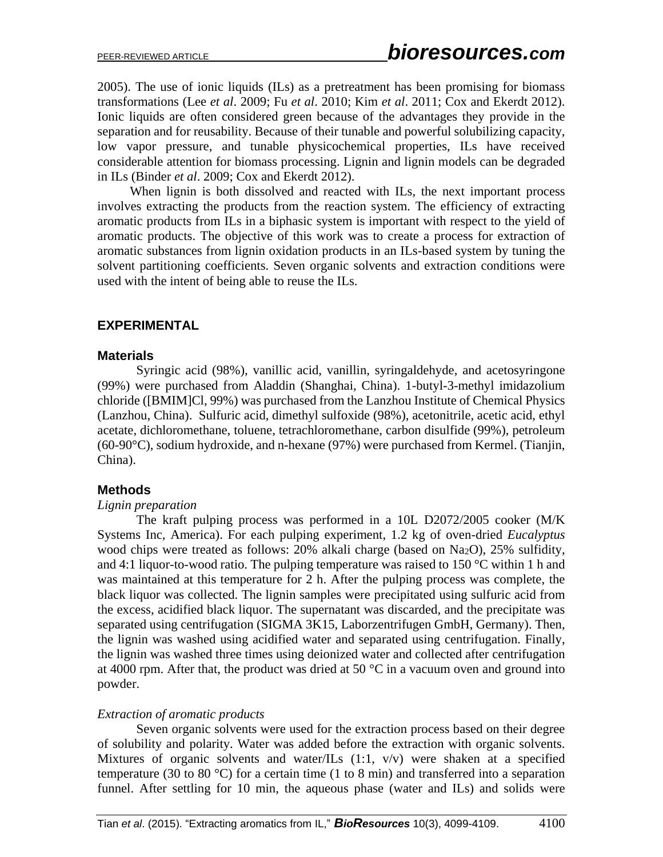2005). The use of ionic liquids (ILs) as a pretreatment has been promising for biomass transformations (Lee *et al*. 2009; Fu *et al*. 2010; Kim *et al*. 2011; Cox and Ekerdt 2012). Ionic liquids are often considered green because of the advantages they provide in the separation and for reusability. Because of their tunable and powerful solubilizing capacity, low vapor pressure, and tunable physicochemical properties, ILs have received considerable attention for biomass processing. Lignin and lignin models can be degraded in ILs (Binder *et al*. 2009; Cox and Ekerdt 2012).

When lignin is both dissolved and reacted with ILs, the next important process involves extracting the products from the reaction system. The efficiency of extracting aromatic products from ILs in a biphasic system is important with respect to the yield of aromatic products. The objective of this work was to create a process for extraction of aromatic substances from lignin oxidation products in an ILs-based system by tuning the solvent partitioning coefficients. Seven organic solvents and extraction conditions were used with the intent of being able to reuse the ILs.

## **EXPERIMENTAL**

#### **Materials**

Syringic acid (98%), vanillic acid, vanillin, syringaldehyde, and acetosyringone (99%) were purchased from Aladdin (Shanghai, China). 1-butyl-3-methyl imidazolium chloride ([BMIM]Cl, 99%) was purchased from the Lanzhou Institute of Chemical Physics (Lanzhou, China). Sulfuric acid, dimethyl sulfoxide (98%), acetonitrile, acetic acid, ethyl acetate, dichloromethane, toluene, tetrachloromethane, carbon disulfide (99%), petroleum (60-90°C), sodium hydroxide, and n-hexane (97%) were purchased from Kermel. (Tianjin, China).

## **Methods**

#### *Lignin preparation*

The kraft pulping process was performed in a 10L D2072/2005 cooker (M/K Systems Inc, America). For each pulping experiment, 1.2 kg of oven-dried *Eucalyptus* wood chips were treated as follows:  $20\%$  alkali charge (based on Na<sub>2</sub>O),  $25\%$  sulfidity, and 4:1 liquor-to-wood ratio. The pulping temperature was raised to 150  $\degree$ C within 1 h and was maintained at this temperature for 2 h. After the pulping process was complete, the black liquor was collected. The lignin samples were precipitated using sulfuric acid from the excess, acidified black liquor. The supernatant was discarded, and the precipitate was separated using centrifugation (SIGMA 3K15, Laborzentrifugen GmbH, Germany). Then, the lignin was washed using acidified water and separated using centrifugation. Finally, the lignin was washed three times using deionized water and collected after centrifugation at 4000 rpm. After that, the product was dried at 50  $^{\circ}$ C in a vacuum oven and ground into powder.

#### *Extraction of aromatic products*

Seven organic solvents were used for the extraction process based on their degree of solubility and polarity. Water was added before the extraction with organic solvents. Mixtures of organic solvents and water/ILs (1:1, v/v) were shaken at a specified temperature (30 to 80 °C) for a certain time (1 to 8 min) and transferred into a separation funnel. After settling for 10 min, the aqueous phase (water and ILs) and solids were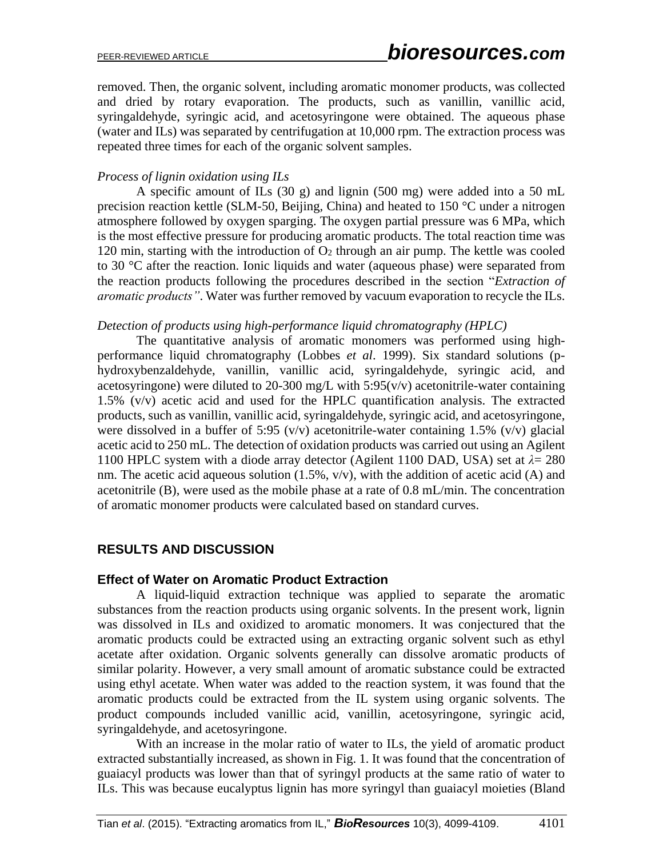removed. Then, the organic solvent, including aromatic monomer products, was collected and dried by rotary evaporation. The products, such as vanillin, vanillic acid, syringaldehyde, syringic acid, and acetosyringone were obtained. The aqueous phase (water and ILs) was separated by centrifugation at 10,000 rpm. The extraction process was repeated three times for each of the organic solvent samples.

### *Process of lignin oxidation using ILs*

A specific amount of ILs (30 g) and lignin (500 mg) were added into a 50 mL precision reaction kettle (SLM-50, Beijing, China) and heated to 150 °C under a nitrogen atmosphere followed by oxygen sparging. The oxygen partial pressure was 6 MPa, which is the most effective pressure for producing aromatic products. The total reaction time was 120 min, starting with the introduction of  $O_2$  through an air pump. The kettle was cooled to 30 °C after the reaction. Ionic liquids and water (aqueous phase) were separated from the reaction products following the procedures described in the section "*Extraction of aromatic products"*. Water was further removed by vacuum evaporation to recycle the ILs.

#### *Detection of products using high-performance liquid chromatography (HPLC)*

The quantitative analysis of aromatic monomers was performed using highperformance liquid chromatography (Lobbes *et al*. 1999). Six standard solutions (phydroxybenzaldehyde, vanillin, vanillic acid, syringaldehyde, syringic acid, and acetosyringone) were diluted to 20-300 mg/L with  $5:95(v/v)$  acetonitrile-water containing 1.5% (v/v) acetic acid and used for the HPLC quantification analysis. The extracted products, such as vanillin, vanillic acid, syringaldehyde, syringic acid, and acetosyringone, were dissolved in a buffer of 5:95 (v/v) acetonitrile-water containing 1.5% (v/v) glacial acetic acid to 250 mL. The detection of oxidation products was carried out using an Agilent 1100 HPLC system with a diode array detector (Agilent 1100 DAD, USA) set at *λ*= 280 nm. The acetic acid aqueous solution (1.5%, v/v), with the addition of acetic acid (A) and acetonitrile (B), were used as the mobile phase at a rate of 0.8 mL/min. The concentration of aromatic monomer products were calculated based on standard curves.

## **RESULTS AND DISCUSSION**

#### **Effect of Water on Aromatic Product Extraction**

A liquid-liquid extraction technique was applied to separate the aromatic substances from the reaction products using organic solvents. In the present work, lignin was dissolved in ILs and oxidized to aromatic monomers. It was conjectured that the aromatic products could be extracted using an extracting organic solvent such as ethyl acetate after oxidation. Organic solvents generally can dissolve aromatic products of similar polarity. However, a very small amount of aromatic substance could be extracted using ethyl acetate. When water was added to the reaction system, it was found that the aromatic products could be extracted from the IL system using organic solvents. The product compounds included vanillic acid, vanillin, acetosyringone, syringic acid, syringaldehyde, and acetosyringone.

With an increase in the molar ratio of water to ILs, the yield of aromatic product extracted substantially increased, as shown in Fig. 1. It was found that the concentration of guaiacyl products was lower than that of syringyl products at the same ratio of water to ILs. This was because eucalyptus lignin has more syringyl than guaiacyl moieties (Bland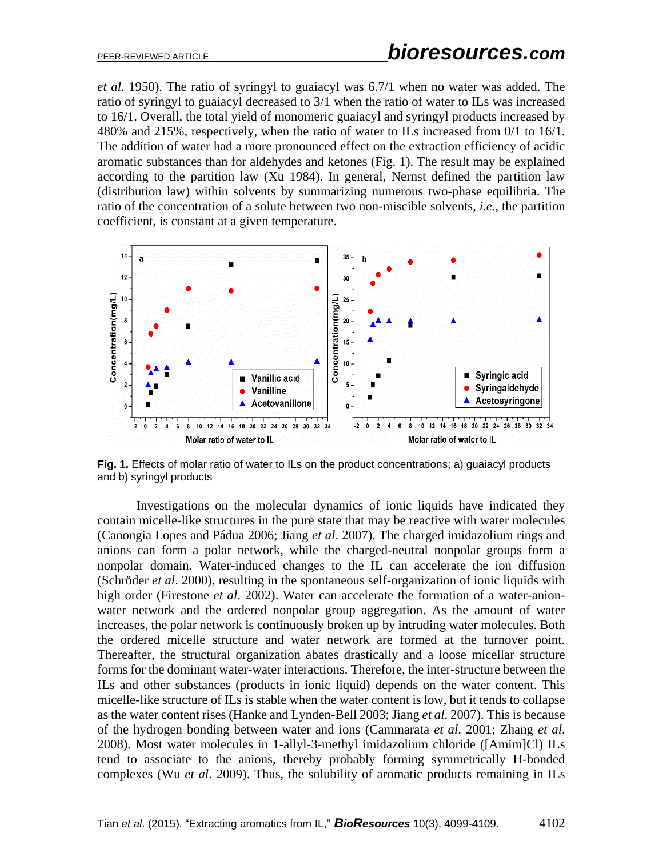*et al*. 1950). The ratio of syringyl to guaiacyl was 6.7/1 when no water was added. The ratio of syringyl to guaiacyl decreased to 3/1 when the ratio of water to ILs was increased to 16/1. Overall, the total yield of monomeric guaiacyl and syringyl products increased by 480% and 215%, respectively, when the ratio of water to ILs increased from 0/1 to 16/1. The addition of water had a more pronounced effect on the extraction efficiency of acidic aromatic substances than for aldehydes and ketones (Fig. 1). The result may be explained according to the partition law (Xu 1984). In general, Nernst defined the partition law (distribution law) within solvents by summarizing numerous two-phase equilibria. The ratio of the concentration of a solute between two non-miscible solvents, *i.e*., the partition coefficient, is constant at a given temperature.



Fig. 1. Effects of molar ratio of water to ILs on the product concentrations; a) guaiacyl products and b) syringyl products

Investigations on the molecular dynamics of ionic liquids have indicated they contain micelle-like structures in the pure state that may be reactive with water molecules (Canongia Lopes and Pádua 2006; Jiang *et al*. 2007). The charged imidazolium rings and anions can form a polar network, while the charged-neutral nonpolar groups form a nonpolar domain. Water-induced changes to the IL can accelerate the ion diffusion (Schröder *et al*. 2000), resulting in the spontaneous self-organization of ionic liquids with high order (Firestone *et al*. 2002). Water can accelerate the formation of a water-anionwater network and the ordered nonpolar group aggregation. As the amount of water increases, the polar network is continuously broken up by intruding water molecules. Both the ordered micelle structure and water network are formed at the turnover point. Thereafter, the structural organization abates drastically and a loose micellar structure forms for the dominant water-water interactions. Therefore, the inter-structure between the ILs and other substances (products in ionic liquid) depends on the water content. This micelle-like structure of ILs is stable when the water content is low, but it tends to collapse as the water content rises (Hanke and Lynden-Bell 2003; Jiang *et al*. 2007). This is because of the hydrogen bonding between water and ions (Cammarata *et al*. 2001; Zhang *et al*. 2008). Most water molecules in 1-allyl-3-methyl imidazolium chloride ([Amim]Cl) ILs tend to associate to the anions, thereby probably forming symmetrically H-bonded complexes (Wu *et al*. 2009). Thus, the solubility of aromatic products remaining in ILs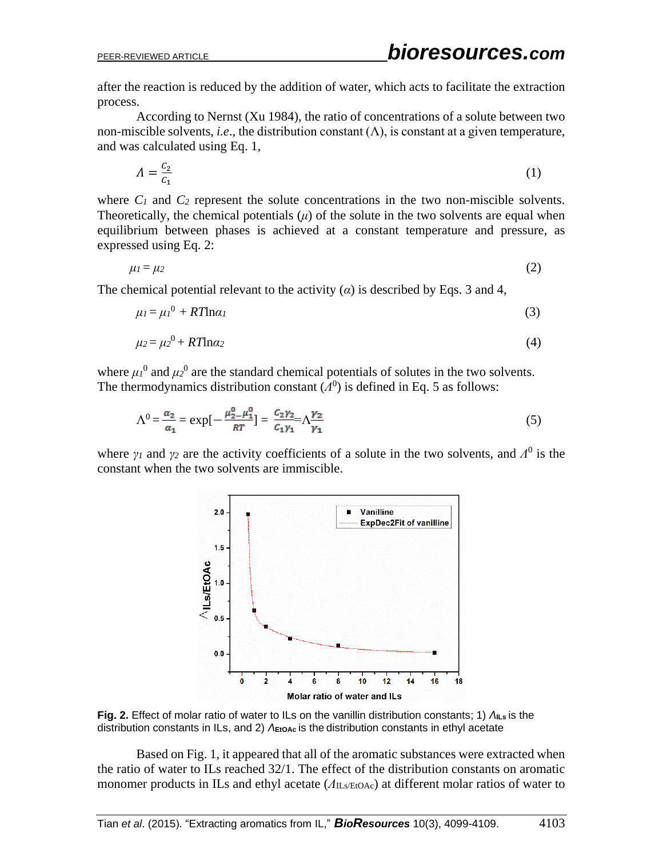after the reaction is reduced by the addition of water, which acts to facilitate the extraction process.

According to Nernst (Xu 1984), the ratio of concentrations of a solute between two non-miscible solvents, *i.e.*, the distribution constant  $(\Lambda)$ , is constant at a given temperature, and was calculated using Eq. 1,

$$
\Lambda = \frac{c_2}{c_1} \tag{1}
$$

where  $C_1$  and  $C_2$  represent the solute concentrations in the two non-miscible solvents. Theoretically, the chemical potentials  $(\mu)$  of the solute in the two solvents are equal when equilibrium between phases is achieved at a constant temperature and pressure, as expressed using Eq. 2:

$$
\mu_1 = \mu_2 \tag{2}
$$

The chemical potential relevant to the activity  $(\alpha)$  is described by Eqs. 3 and 4,

$$
\mu_l = \mu_l^0 + RT \ln \alpha_l \tag{3}
$$

$$
\mu_2 = \mu_2^0 + RT \ln \alpha_2 \tag{4}
$$

where  $\mu_l^0$  and  $\mu_2^0$  are the standard chemical potentials of solutes in the two solvents. The thermodynamics distribution constant  $(A^0)$  is defined in Eq. 5 as follows:

$$
\Lambda^{0} = \frac{\alpha_{2}}{\alpha_{1}} = \exp[-\frac{\mu_{2}^{0} - \mu_{1}^{0}}{RT}] = \frac{c_{2}\gamma_{2}}{c_{1}\gamma_{1}} = \Lambda\frac{\gamma_{2}}{\gamma_{1}}
$$
(5)

where  $\gamma_I$  and  $\gamma_2$  are the activity coefficients of a solute in the two solvents, and  $\Lambda^0$  is the constant when the two solvents are immiscible.



**Fig. 2.** Effect of molar ratio of water to ILs on the vanillin distribution constants; 1) *Λ***ILs** is the distribution constants in ILs, and 2) *Λ***EtOAc** is the distribution constants in ethyl acetate

Based on Fig. 1, it appeared that all of the aromatic substances were extracted when the ratio of water to ILs reached 32/1. The effect of the distribution constants on aromatic monomer products in ILs and ethyl acetate (*Λ*ILs/EtOAc) at different molar ratios of water to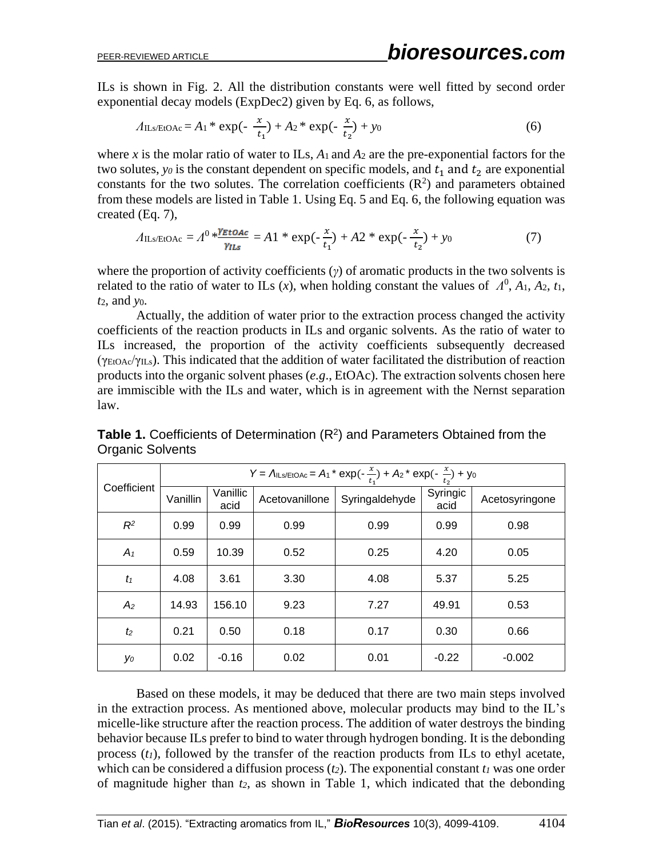ILs is shown in Fig. 2. All the distribution constants were well fitted by second order exponential decay models (ExpDec2) given by Eq. 6, as follows,

$$
A_{\text{ILs/EtOAc}} = A_1 * \exp(-\frac{x}{t_1}) + A_2 * \exp(-\frac{x}{t_2}) + y_0 \tag{6}
$$

where *x* is the molar ratio of water to ILs,  $A_1$  and  $A_2$  are the pre-exponential factors for the two solutes,  $y_0$  is the constant dependent on specific models, and  $t_1$  and  $t_2$  are exponential constants for the two solutes. The correlation coefficients  $(R^2)$  and parameters obtained from these models are listed in Table 1. Using Eq. 5 and Eq. 6, the following equation was created (Eq. 7),

$$
A_{\text{ILs/EtOAc}} = A^0 * \frac{\gamma_{\text{EtOAc}}}{\gamma_{\text{ILs}}} = A1 * \exp(-\frac{x}{t_1}) + A2 * \exp(-\frac{x}{t_2}) + y_0 \tag{7}
$$

where the proportion of activity coefficients (*γ*) of aromatic products in the two solvents is related to the ratio of water to ILs  $(x)$ , when holding constant the values of  $\Lambda^0$ ,  $A_1$ ,  $A_2$ ,  $t_1$ , *t*2, and *y*0.

Actually, the addition of water prior to the extraction process changed the activity coefficients of the reaction products in ILs and organic solvents. As the ratio of water to ILs increased, the proportion of the activity coefficients subsequently decreased (γEtOAc/γILs). This indicated that the addition of water facilitated the distribution of reaction products into the organic solvent phases (*e.g*., EtOAc). The extraction solvents chosen here are immiscible with the ILs and water, which is in agreement with the Nernst separation law.

| Coefficient    | Y = $\Lambda$ ILS/EtOAc = $A_1$ <sup>*</sup> exp(- $\frac{x}{t_1}$ ) + $A_2$ <sup>*</sup> exp(- $\frac{x}{t_2}$ ) + y <sub>0</sub> |                  |                |                |                  |                |  |
|----------------|------------------------------------------------------------------------------------------------------------------------------------|------------------|----------------|----------------|------------------|----------------|--|
|                | Vanillin                                                                                                                           | Vanillic<br>acid | Acetovanillone | Syringaldehyde | Syringic<br>acid | Acetosyringone |  |
| $R^2$          | 0.99                                                                                                                               | 0.99             | 0.99           | 0.99           | 0.99             | 0.98           |  |
| $A_1$          | 0.59                                                                                                                               | 10.39            | 0.52           | 0.25           | 4.20             | 0.05           |  |
| $t_1$          | 4.08                                                                                                                               | 3.61             | 3.30           | 4.08           | 5.37             | 5.25           |  |
| A <sub>2</sub> | 14.93                                                                                                                              | 156.10           | 9.23           | 7.27           | 49.91            | 0.53           |  |
| t <sub>2</sub> | 0.21                                                                                                                               | 0.50             | 0.18           | 0.17           | 0.30             | 0.66           |  |
| yо             | 0.02                                                                                                                               | $-0.16$          | 0.02           | 0.01           | $-0.22$          | $-0.002$       |  |

Table 1. Coefficients of Determination (R<sup>2</sup>) and Parameters Obtained from the Organic Solvents

Based on these models, it may be deduced that there are two main steps involved in the extraction process. As mentioned above, molecular products may bind to the IL's micelle-like structure after the reaction process. The addition of water destroys the binding behavior because ILs prefer to bind to water through hydrogen bonding. It is the debonding process (*t1*), followed by the transfer of the reaction products from ILs to ethyl acetate, which can be considered a diffusion process  $(t_2)$ . The exponential constant  $t_1$  was one order of magnitude higher than *t2*, as shown in Table 1, which indicated that the debonding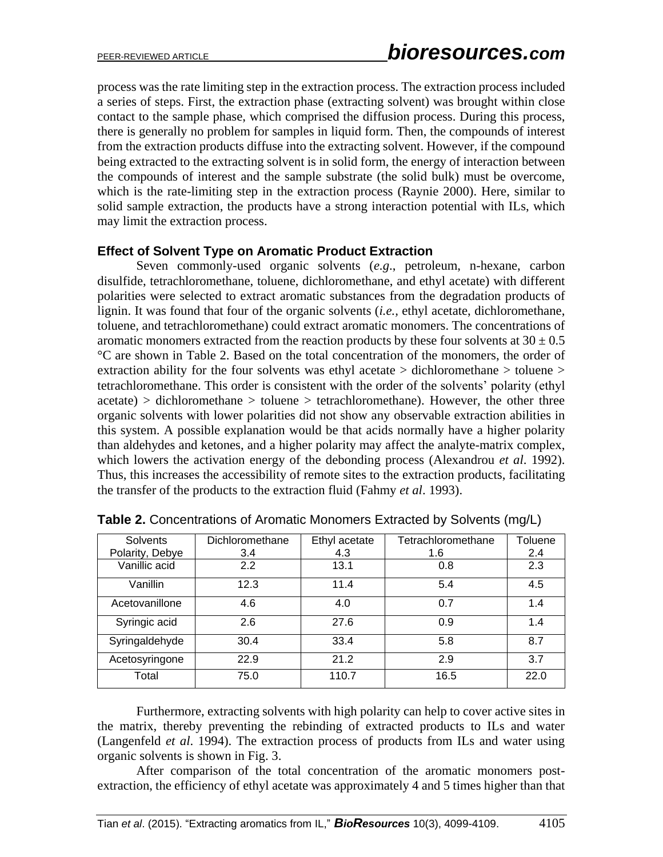process was the rate limiting step in the extraction process. The extraction process included a series of steps. First, the extraction phase (extracting solvent) was brought within close contact to the sample phase, which comprised the diffusion process. During this process, there is generally no problem for samples in liquid form. Then, the compounds of interest from the extraction products diffuse into the extracting solvent. However, if the compound being extracted to the extracting solvent is in solid form, the energy of interaction between the compounds of interest and the sample substrate (the solid bulk) must be overcome, which is the rate-limiting step in the extraction process (Raynie 2000). Here, similar to solid sample extraction, the products have a strong interaction potential with ILs, which may limit the extraction process.

#### **Effect of Solvent Type on Aromatic Product Extraction**

Seven commonly-used organic solvents (*e.g*., petroleum, n-hexane, carbon disulfide, tetrachloromethane, toluene, dichloromethane, and ethyl acetate) with different polarities were selected to extract aromatic substances from the degradation products of lignin. It was found that four of the organic solvents (*i.e.,* ethyl acetate, dichloromethane, toluene, and tetrachloromethane) could extract aromatic monomers. The concentrations of aromatic monomers extracted from the reaction products by these four solvents at  $30 \pm 0.5$ °C are shown in Table 2. Based on the total concentration of the monomers, the order of extraction ability for the four solvents was ethyl acetate > dichloromethane > toluene > tetrachloromethane. This order is consistent with the order of the solvents' polarity (ethyl  $\alpha$  acetate) > dichloromethane > toluene > tetrachloromethane). However, the other three organic solvents with lower polarities did not show any observable extraction abilities in this system. A possible explanation would be that acids normally have a higher polarity than aldehydes and ketones, and a higher polarity may affect the analyte-matrix complex, which lowers the activation energy of the debonding process (Alexandrou *et al*. 1992). Thus, this increases the accessibility of remote sites to the extraction products, facilitating the transfer of the products to the extraction fluid (Fahmy *et al*. 1993).

| Solvents        | Dichloromethane | Ethyl acetate | Tetrachloromethane | Toluene |
|-----------------|-----------------|---------------|--------------------|---------|
| Polarity, Debye | 3.4             | 4.3           | 1.6                | 2.4     |
| Vanillic acid   | 2.2             | 13.1          | 0.8                | 2.3     |
| Vanillin        | 12.3            | 11.4          | 5.4                | 4.5     |
| Acetovanillone  | 4.6             | 4.0           | 0.7                | 1.4     |
| Syringic acid   | 2.6             | 27.6          | 0.9                | 1.4     |
| Syringaldehyde  | 30.4            | 33.4          | 5.8                | 8.7     |
| Acetosyringone  | 22.9            | 21.2          | 2.9                | 3.7     |
| Total           | 75.0            | 110.7         | 16.5               | 22.0    |

**Table 2.** Concentrations of Aromatic Monomers Extracted by Solvents (mg/L)

Furthermore, extracting solvents with high polarity can help to cover active sites in the matrix, thereby preventing the rebinding of extracted products to ILs and water (Langenfeld *et al*. 1994). The extraction process of products from ILs and water using organic solvents is shown in Fig. 3.

After comparison of the total concentration of the aromatic monomers postextraction, the efficiency of ethyl acetate was approximately 4 and 5 times higher than that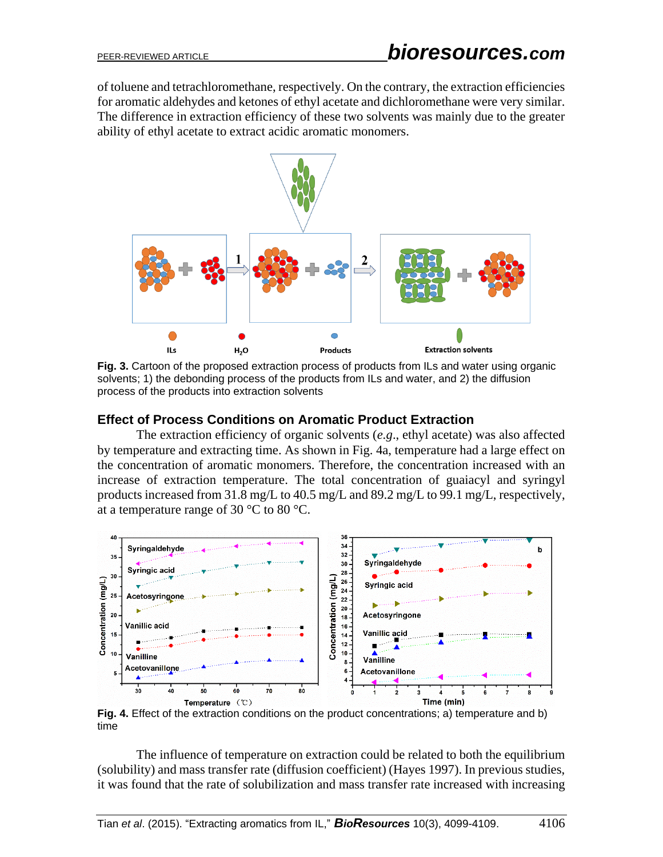of toluene and tetrachloromethane, respectively. On the contrary, the extraction efficiencies for aromatic aldehydes and ketones of ethyl acetate and dichloromethane were very similar. The difference in extraction efficiency of these two solvents was mainly due to the greater ability of ethyl acetate to extract acidic aromatic monomers.



**Fig. 3.** Cartoon of the proposed extraction process of products from ILs and water using organic solvents; 1) the debonding process of the products from ILs and water, and 2) the diffusion process of the products into extraction solvents

#### **Effect of Process Conditions on Aromatic Product Extraction**

The extraction efficiency of organic solvents (*e.g*., ethyl acetate) was also affected by temperature and extracting time. As shown in Fig. 4a, temperature had a large effect on the concentration of aromatic monomers. Therefore, the concentration increased with an increase of extraction temperature. The total concentration of guaiacyl and syringyl products increased from 31.8 mg/L to 40.5 mg/L and 89.2 mg/L to 99.1 mg/L, respectively, at a temperature range of 30  $^{\circ}$ C to 80  $^{\circ}$ C.



**Fig. 4.** Effect of the extraction conditions on the product concentrations; a) temperature and b) time

The influence of temperature on extraction could be related to both the equilibrium (solubility) and mass transfer rate (diffusion coefficient) (Hayes 1997). In previous studies, it was found that the rate of solubilization and mass transfer rate increased with increasing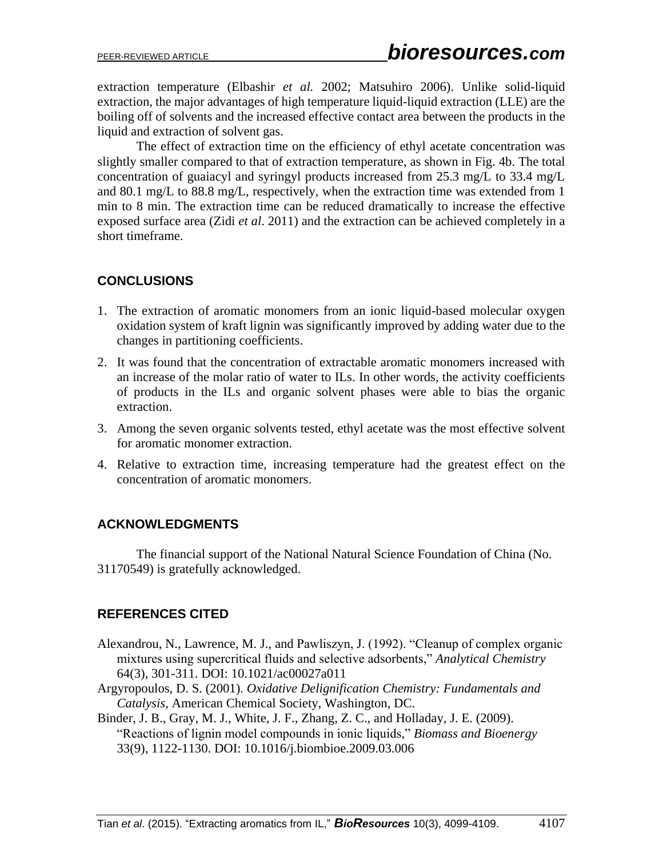extraction temperature (Elbashir *et al.* 2002; Matsuhiro 2006). Unlike solid-liquid extraction, the major advantages of high temperature liquid-liquid extraction (LLE) are the boiling off of solvents and the increased effective contact area between the products in the liquid and extraction of solvent gas.

The effect of extraction time on the efficiency of ethyl acetate concentration was slightly smaller compared to that of extraction temperature, as shown in Fig. 4b. The total concentration of guaiacyl and syringyl products increased from 25.3 mg/L to 33.4 mg/L and 80.1 mg/L to 88.8 mg/L, respectively, when the extraction time was extended from 1 min to 8 min. The extraction time can be reduced dramatically to increase the effective exposed surface area (Zidi *et al*. 2011) and the extraction can be achieved completely in a short timeframe.

# **CONCLUSIONS**

- 1. The extraction of aromatic monomers from an ionic liquid-based molecular oxygen oxidation system of kraft lignin was significantly improved by adding water due to the changes in partitioning coefficients.
- 2. It was found that the concentration of extractable aromatic monomers increased with an increase of the molar ratio of water to ILs. In other words, the activity coefficients of products in the ILs and organic solvent phases were able to bias the organic extraction.
- 3. Among the seven organic solvents tested, ethyl acetate was the most effective solvent for aromatic monomer extraction.
- 4. Relative to extraction time, increasing temperature had the greatest effect on the concentration of aromatic monomers.

## **ACKNOWLEDGMENTS**

The financial support of the National Natural Science Foundation of China (No. 31170549) is gratefully acknowledged.

# **REFERENCES CITED**

- Alexandrou, N., Lawrence, M. J., and Pawliszyn, J. (1992). "Cleanup of complex organic mixtures using supercritical fluids and selective adsorbents," *Analytical Chemistry* 64(3), 301-311. DOI: 10.1021/ac00027a011
- Argyropoulos, D. S. (2001). *Oxidative Delignification Chemistry: Fundamentals and Catalysis*, American Chemical Society, Washington, DC.
- Binder, J. B., Gray, M. J., White, J. F., Zhang, Z. C., and Holladay, J. E. (2009). "Reactions of lignin model compounds in ionic liquids," *Biomass and Bioenergy* 33(9), 1122-1130. DOI: 10.1016/j.biombioe.2009.03.006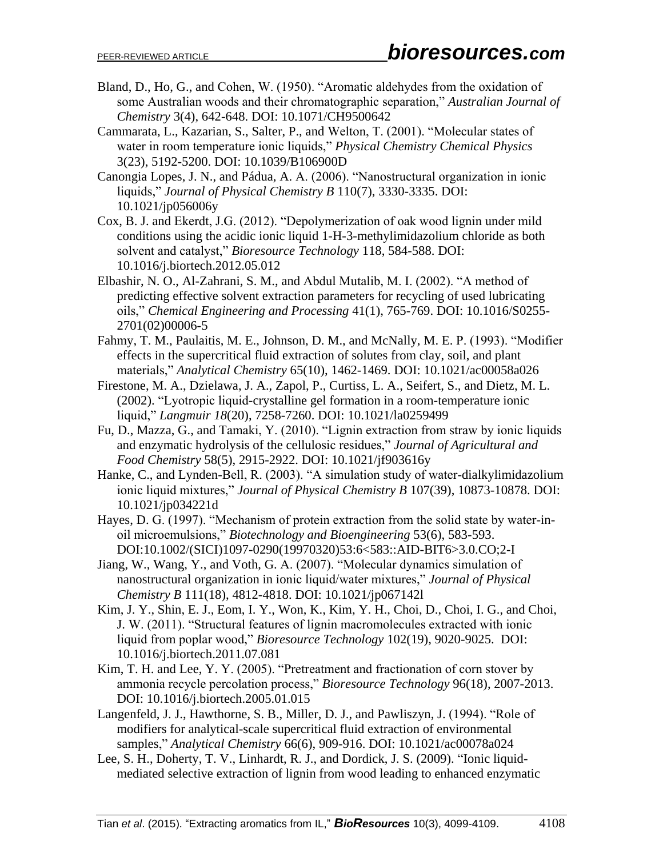- Bland, D., Ho, G., and Cohen, W. (1950). "Aromatic aldehydes from the oxidation of some Australian woods and their chromatographic separation," *Australian Journal of Chemistry* 3(4), 642-648. DOI: 10.1071/CH9500642
- Cammarata, L., Kazarian, S., Salter, P., and Welton, T. (2001). "Molecular states of water in room temperature ionic liquids," *Physical Chemistry Chemical Physics* 3(23), 5192-5200. DOI: 10.1039/B106900D
- Canongia Lopes, J. N., and Pádua, A. A. (2006). "Nanostructural organization in ionic liquids," *Journal of Physical Chemistry B* 110(7), 3330-3335. DOI: 10.1021/jp056006y
- Cox, B. J. and Ekerdt, J.G. (2012). "Depolymerization of oak wood lignin under mild conditions using the acidic ionic liquid 1-H-3-methylimidazolium chloride as both solvent and catalyst," *Bioresource Technology* 118, 584-588. DOI: 10.1016/j.biortech.2012.05.012
- Elbashir, N. O., Al-Zahrani, S. M., and Abdul Mutalib, M. I. (2002). "A method of predicting effective solvent extraction parameters for recycling of used lubricating oils," *Chemical Engineering and Processing* 41(1), 765-769. DOI: 10.1016/S0255- 2701(02)00006-5
- Fahmy, T. M., Paulaitis, M. E., Johnson, D. M., and McNally, M. E. P. (1993). "Modifier effects in the supercritical fluid extraction of solutes from clay, soil, and plant materials," *Analytical Chemistry* 65(10), 1462-1469. DOI: 10.1021/ac00058a026
- Firestone, M. A., Dzielawa, J. A., Zapol, P., Curtiss, L. A., Seifert, S., and Dietz, M. L. (2002). "Lyotropic liquid-crystalline gel formation in a room-temperature ionic liquid," *Langmuir 18*(20), 7258-7260. DOI: 10.1021/la0259499
- Fu, D., Mazza, G., and Tamaki, Y. (2010). "Lignin extraction from straw by ionic liquids and enzymatic hydrolysis of the cellulosic residues," *Journal of Agricultural and Food Chemistry* 58(5), 2915-2922. DOI: 10.1021/jf903616y
- Hanke, C., and Lynden-Bell, R. (2003). "A simulation study of water-dialkylimidazolium ionic liquid mixtures," *Journal of Physical Chemistry B* 107(39), 10873-10878. DOI: 10.1021/jp034221d
- Hayes, D. G. (1997). "Mechanism of protein extraction from the solid state by water-inoil microemulsions," *Biotechnology and Bioengineering* 53(6), 583-593. DOI:10.1002/(SICI)1097-0290(19970320)53:6<583::AID-BIT6>3.0.CO;2-I
- Jiang, W., Wang, Y., and Voth, G. A. (2007). "Molecular dynamics simulation of nanostructural organization in ionic liquid/water mixtures," *Journal of Physical Chemistry B* 111(18), 4812-4818. DOI: 10.1021/jp067142l
- Kim, J. Y., Shin, E. J., Eom, I. Y., Won, K., Kim, Y. H., Choi, D., Choi, I. G., and Choi, J. W. (2011). "Structural features of lignin macromolecules extracted with ionic liquid from poplar wood," *Bioresource Technology* 102(19), 9020-9025. DOI: 10.1016/j.biortech.2011.07.081
- Kim, T. H. and Lee, Y. Y. (2005). "Pretreatment and fractionation of corn stover by ammonia recycle percolation process," *Bioresource Technology* 96(18), 2007-2013. DOI: 10.1016/j.biortech.2005.01.015
- Langenfeld, J. J., Hawthorne, S. B., Miller, D. J., and Pawliszyn, J. (1994). "Role of modifiers for analytical-scale supercritical fluid extraction of environmental samples," *Analytical Chemistry* 66(6), 909-916. DOI: 10.1021/ac00078a024
- Lee, S. H., Doherty, T. V., Linhardt, R. J., and Dordick, J. S. (2009). "Ionic liquidmediated selective extraction of lignin from wood leading to enhanced enzymatic